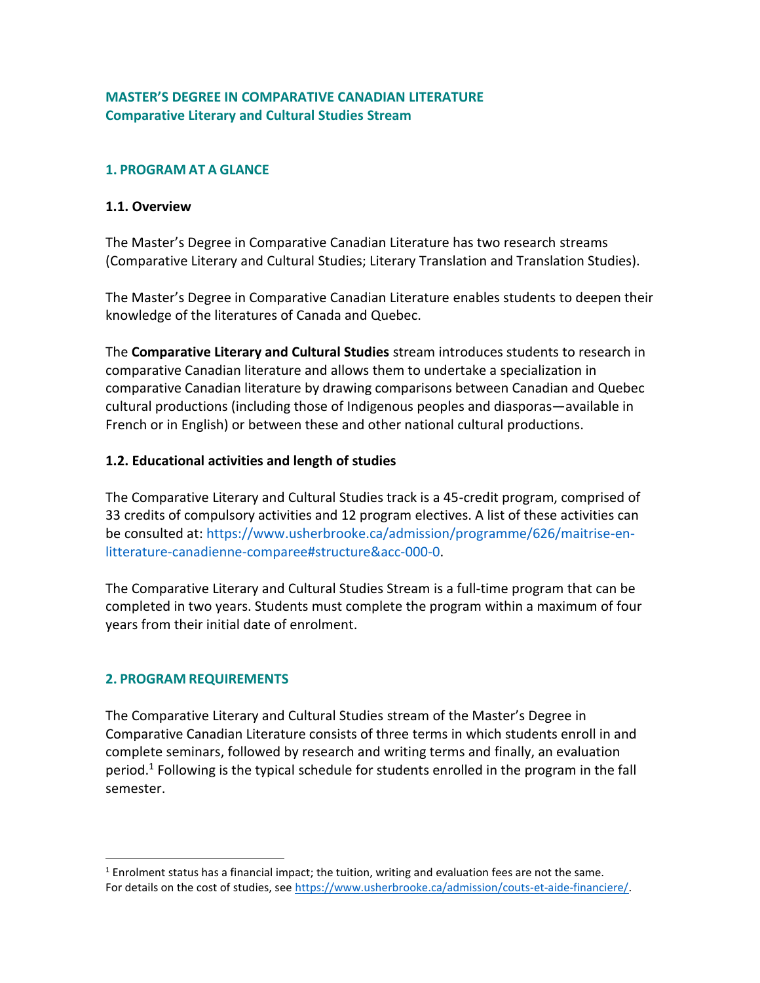### **MASTER'S DEGREE IN COMPARATIVE CANADIAN LITERATURE Comparative Literary and Cultural Studies Stream**

### **1. PROGRAM AT A GLANCE**

#### **1.1. Overview**

The Master's Degree in Comparative Canadian Literature has two research streams (Comparative Literary and Cultural Studies; Literary Translation and Translation Studies).

The Master's Degree in Comparative Canadian Literature enables students to deepen their knowledge of the literatures of Canada and Quebec.

The **Comparative Literary and Cultural Studies** stream introduces students to research in comparative Canadian literature and allows them to undertake a specialization in comparative Canadian literature by drawing comparisons between Canadian and Quebec cultural productions (including those of Indigenous peoples and diasporas—available in French or in English) or between these and other national cultural productions.

### **1.2. Educational activities and length of studies**

The Comparative Literary and Cultural Studies track is a 45-credit program, comprised of 33 credits of compulsory activities and 12 program electives. A list of these activities can be consulted at: [https://www.usherbrooke.ca/admission/programme/626/maitrise-en](https://www.usherbrooke.ca/admission/programme/626/maitrise-en-litterature-canadienne-comparee#structure&acc-000-0)[litterature-canadienne-comparee#structure&acc-000-0.](https://www.usherbrooke.ca/admission/programme/626/maitrise-en-litterature-canadienne-comparee#structure&acc-000-0)

The Comparative Literary and Cultural Studies Stream is a full-time program that can be completed in two years. Students must complete the program within a maximum of four years from their initial date of enrolment.

# **2. PROGRAM REQUIREMENTS**

 $\overline{a}$ 

The Comparative Literary and Cultural Studies stream of the Master's Degree in Comparative Canadian Literature consists of three terms in which students enroll in and complete seminars, followed by research and writing terms and finally, an evaluation period.<sup>1</sup> Following is the typical schedule for students enrolled in the program in the fall semester.

<sup>1</sup> Enrolment status has a financial impact; the tuition, writing and evaluation fees are not the same. For details on the cost of studies, see [https://www.usherbrooke.ca/admission/couts-et-aide-financiere/.](https://www.usherbrooke.ca/admission/couts-et-aide-financiere/)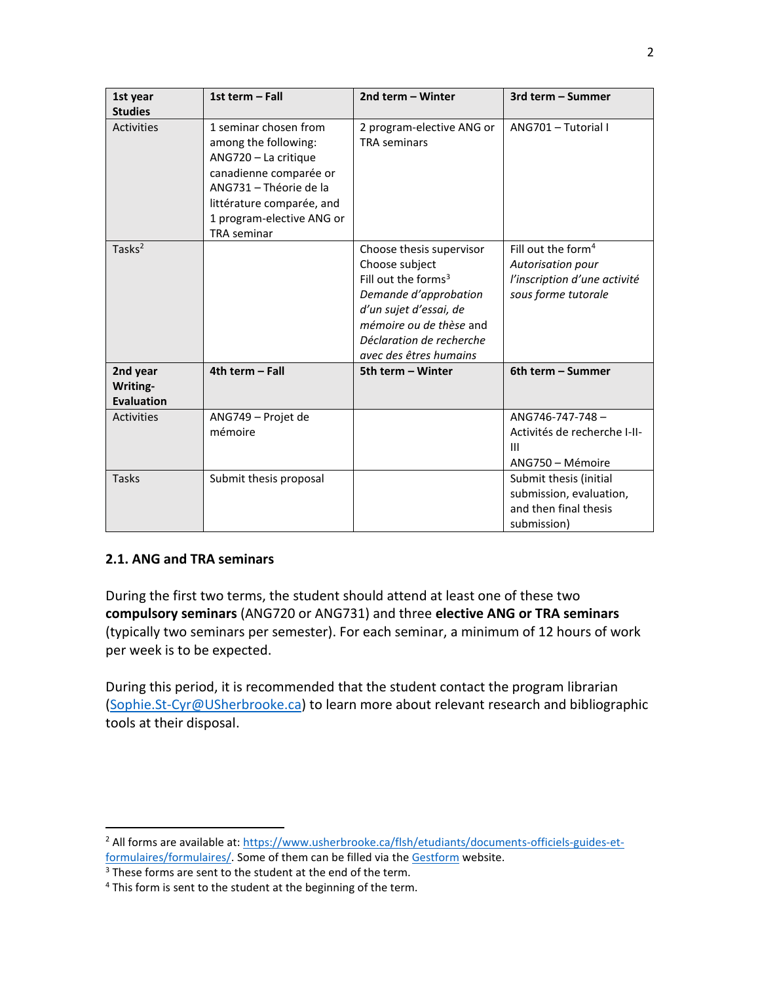| 1st year<br><b>Studies</b>                | 1st term - Fall                                                                                                                                                                                           | 2nd term - Winter                                                                                                                                                                                                 | 3rd term - Summer                                                                                          |
|-------------------------------------------|-----------------------------------------------------------------------------------------------------------------------------------------------------------------------------------------------------------|-------------------------------------------------------------------------------------------------------------------------------------------------------------------------------------------------------------------|------------------------------------------------------------------------------------------------------------|
| Activities                                | 1 seminar chosen from<br>among the following:<br>ANG720 - La critique<br>canadienne comparée or<br>ANG731 - Théorie de la<br>littérature comparée, and<br>1 program-elective ANG or<br><b>TRA</b> seminar | 2 program-elective ANG or<br><b>TRA</b> seminars                                                                                                                                                                  | ANG701 - Tutorial I                                                                                        |
| Tasks <sup>2</sup>                        |                                                                                                                                                                                                           | Choose thesis supervisor<br>Choose subject<br>Fill out the forms <sup>3</sup><br>Demande d'approbation<br>d'un sujet d'essai, de<br>mémoire ou de thèse and<br>Déclaration de recherche<br>avec des êtres humains | Fill out the form <sup>4</sup><br>Autorisation pour<br>l'inscription d'une activité<br>sous forme tutorale |
| 2nd year<br>Writing-<br><b>Evaluation</b> | 4th term - Fall                                                                                                                                                                                           | 5th term - Winter                                                                                                                                                                                                 | 6th term - Summer                                                                                          |
| Activities                                | ANG749 - Projet de<br>mémoire                                                                                                                                                                             |                                                                                                                                                                                                                   | ANG746-747-748-<br>Activités de recherche I-II-<br>$\mathbf{H}$<br>ANG750 - Mémoire                        |
| Tasks                                     | Submit thesis proposal                                                                                                                                                                                    |                                                                                                                                                                                                                   | Submit thesis (initial<br>submission, evaluation,<br>and then final thesis<br>submission)                  |

# **2.1. ANG and TRA seminars**

 $\overline{a}$ 

During the first two terms, the student should attend at least one of these two **compulsory seminars** (ANG720 or ANG731) and three **elective ANG or TRA seminars** (typically two seminars per semester). For each seminar, a minimum of 12 hours of work per week is to be expected.

During this period, it is recommended that the student contact the program librarian [\(Sophie.St-Cyr@USherbrooke.ca\)](mailto:Sophie.St-Cyr@USherbrooke.ca) to learn more about relevant research and bibliographic tools at their disposal.

<sup>2</sup> All forms are available at: [https://www.usherbrooke.ca/flsh/etudiants/documents-officiels-guides-et-](https://www.usherbrooke.ca/flsh/etudiants/documents-officiels-guides-et-formulaires/formulaires/)

[formulaires/formulaires/.](https://www.usherbrooke.ca/flsh/etudiants/documents-officiels-guides-et-formulaires/formulaires/) Some of them can be filled via the [Gestform](https://www.usherbrooke.ca/res/accueil-portail/) website.

<sup>&</sup>lt;sup>3</sup> These forms are sent to the student at the end of the term.

<sup>&</sup>lt;sup>4</sup> This form is sent to the student at the beginning of the term.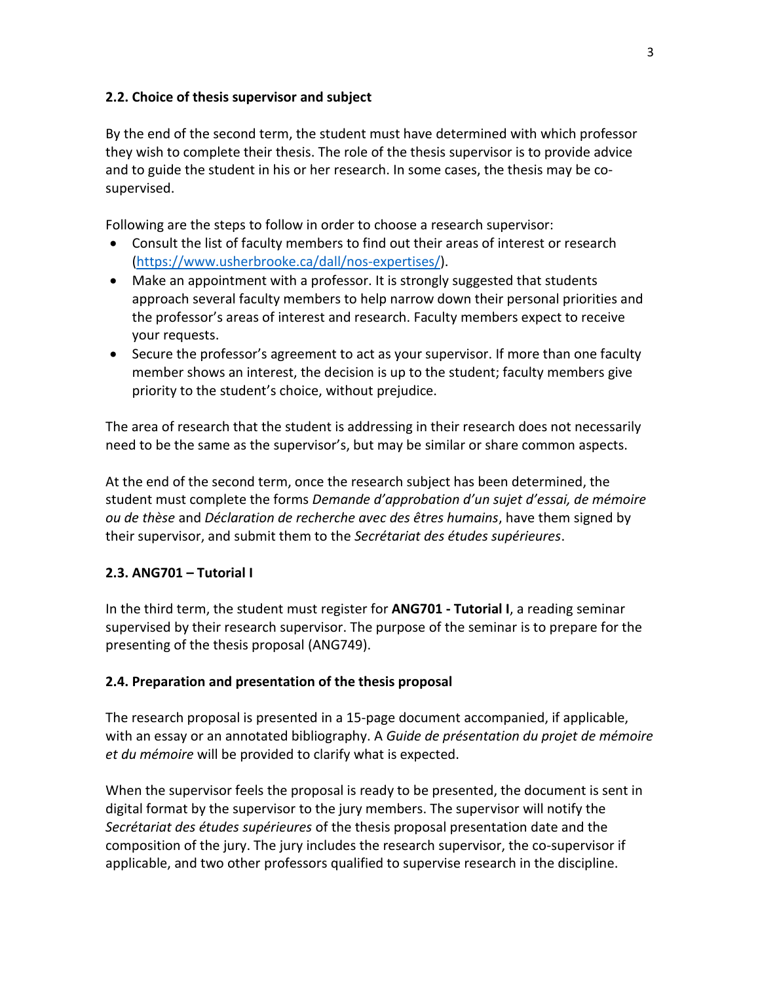### **2.2. Choice of thesis supervisor and subject**

By the end of the second term, the student must have determined with which professor they wish to complete their thesis. The role of the thesis supervisor is to provide advice and to guide the student in his or her research. In some cases, the thesis may be cosupervised.

Following are the steps to follow in order to choose a research supervisor:

- Consult the list of faculty members to find out their areas of interest or research [\(https://www.usherbrooke.ca/dall/nos-expertises/\)](https://www.usherbrooke.ca/dall/nos-expertises/).
- Make an appointment with a professor. It is strongly suggested that students approach several faculty members to help narrow down their personal priorities and the professor's areas of interest and research. Faculty members expect to receive your requests.
- Secure the professor's agreement to act as your supervisor. If more than one faculty member shows an interest, the decision is up to the student; faculty members give priority to the student's choice, without prejudice.

The area of research that the student is addressing in their research does not necessarily need to be the same as the supervisor's, but may be similar or share common aspects.

At the end of the second term, once the research subject has been determined, the student must complete the forms *Demande d'approbation d'un sujet d'essai, de mémoire ou de thèse* and *Déclaration de recherche avec des êtres humains*, have them signed by their supervisor, and submit them to the *Secrétariat des études supérieures*.

# **2.3. ANG701 – Tutorial I**

In the third term, the student must register for **ANG701 - Tutorial I**, a reading seminar supervised by their research supervisor. The purpose of the seminar is to prepare for the presenting of the thesis proposal (ANG749).

### **2.4. Preparation and presentation of the thesis proposal**

The research proposal is presented in a 15-page document accompanied, if applicable, with an essay or an annotated bibliography. A *Guide de présentation du projet de mémoire et du mémoire* will be provided to clarify what is expected.

When the supervisor feels the proposal is ready to be presented, the document is sent in digital format by the supervisor to the jury members. The supervisor will notify the *Secrétariat des études supérieures* of the thesis proposal presentation date and the composition of the jury. The jury includes the research supervisor, the co-supervisor if applicable, and two other professors qualified to supervise research in the discipline.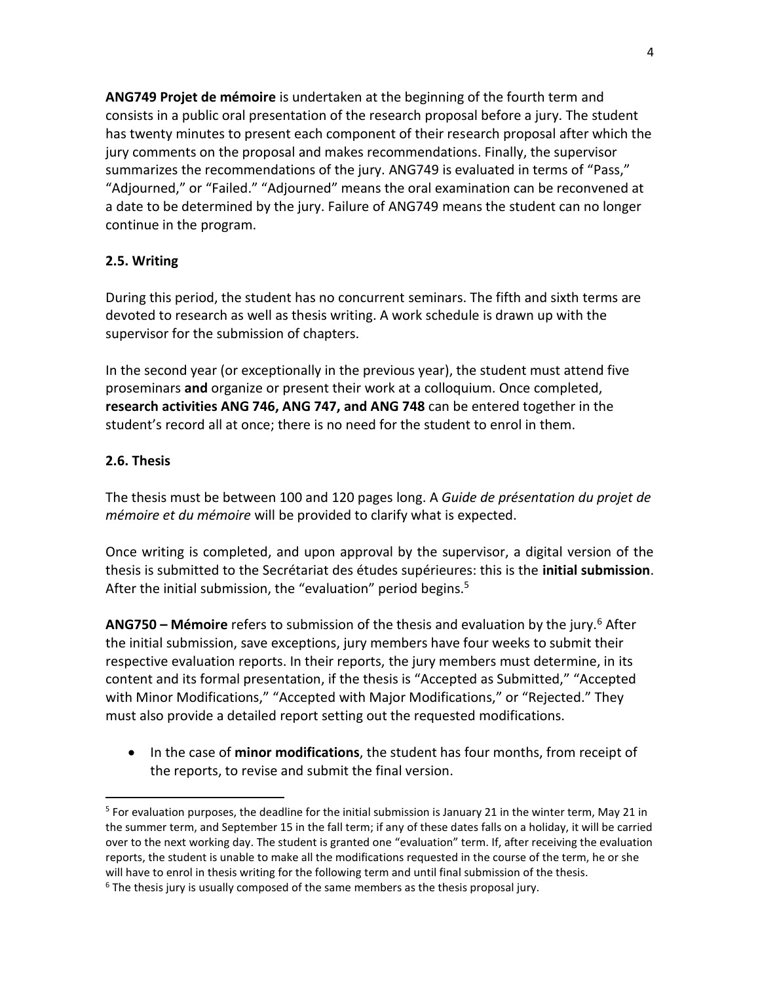**ANG749 Projet de mémoire** is undertaken at the beginning of the fourth term and consists in a public oral presentation of the research proposal before a jury. The student has twenty minutes to present each component of their research proposal after which the jury comments on the proposal and makes recommendations. Finally, the supervisor summarizes the recommendations of the jury. ANG749 is evaluated in terms of "Pass," "Adjourned," or "Failed." "Adjourned" means the oral examination can be reconvened at a date to be determined by the jury. Failure of ANG749 means the student can no longer continue in the program.

### **2.5. Writing**

During this period, the student has no concurrent seminars. The fifth and sixth terms are devoted to research as well as thesis writing. A work schedule is drawn up with the supervisor for the submission of chapters.

In the second year (or exceptionally in the previous year), the student must attend five proseminars **and** organize or present their work at a colloquium. Once completed, **research activities ANG 746, ANG 747, and ANG 748** can be entered together in the student's record all at once; there is no need for the student to enrol in them.

### **2.6. Thesis**

 $\overline{a}$ 

The thesis must be between 100 and 120 pages long. A *Guide de présentation du projet de mémoire et du mémoire* will be provided to clarify what is expected.

Once writing is completed, and upon approval by the supervisor, a digital version of the thesis is submitted to the Secrétariat des études supérieures: this is the **initial submission**. After the initial submission, the "evaluation" period begins.<sup>5</sup>

**ANG750 – Mémoire** refers to submission of the thesis and evaluation by the jury.<sup>6</sup> After the initial submission, save exceptions, jury members have four weeks to submit their respective evaluation reports. In their reports, the jury members must determine, in its content and its formal presentation, if the thesis is "Accepted as Submitted," "Accepted with Minor Modifications," "Accepted with Major Modifications," or "Rejected." They must also provide a detailed report setting out the requested modifications.

 In the case of **minor modifications**, the student has four months, from receipt of the reports, to revise and submit the final version.

<sup>&</sup>lt;sup>5</sup> For evaluation purposes, the deadline for the initial submission is January 21 in the winter term, May 21 in the summer term, and September 15 in the fall term; if any of these dates falls on a holiday, it will be carried over to the next working day. The student is granted one "evaluation" term. If, after receiving the evaluation reports, the student is unable to make all the modifications requested in the course of the term, he or she will have to enrol in thesis writing for the following term and until final submission of the thesis.

 $6$  The thesis jury is usually composed of the same members as the thesis proposal jury.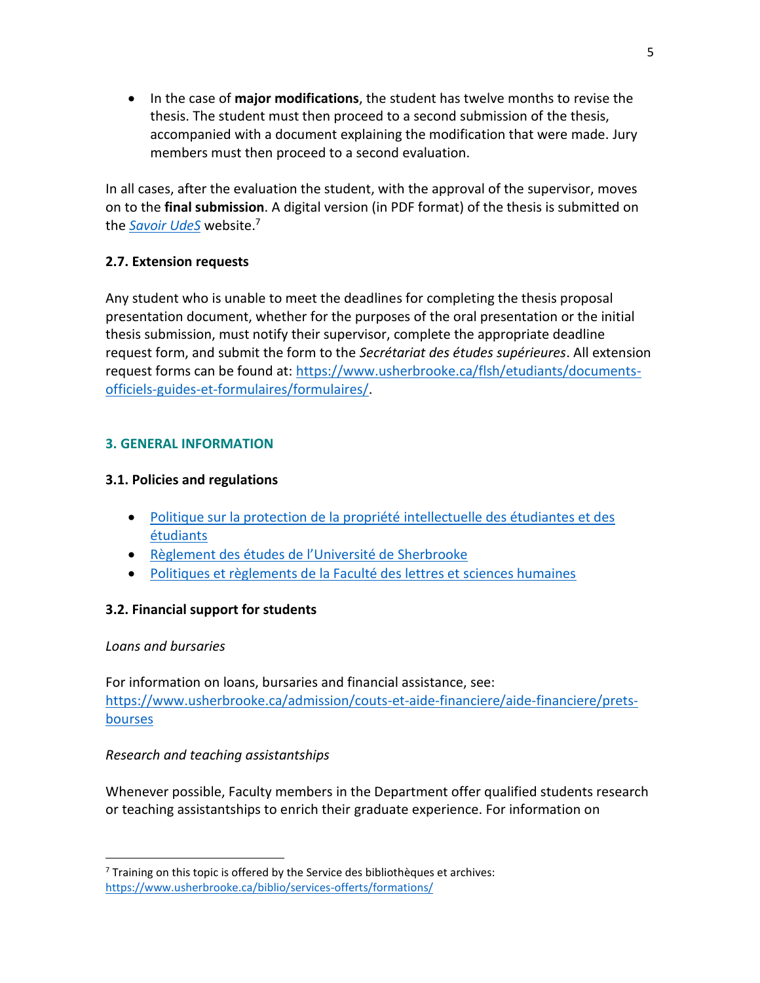In the case of **major modifications**, the student has twelve months to revise the thesis. The student must then proceed to a second submission of the thesis, accompanied with a document explaining the modification that were made. Jury members must then proceed to a second evaluation.

In all cases, after the evaluation the student, with the approval of the supervisor, moves on to the **final submission**. A digital version (in PDF format) of the thesis is submitted on the *[Savoir UdeS](https://savoirs.usherbrooke.ca/)* website. 7

# **2.7. Extension requests**

Any student who is unable to meet the deadlines for completing the thesis proposal presentation document, whether for the purposes of the oral presentation or the initial thesis submission, must notify their supervisor, complete the appropriate deadline request form, and submit the form to the *Secrétariat des études supérieures*. All extension request forms can be found at: [https://www.usherbrooke.ca/flsh/etudiants/documents](https://www.usherbrooke.ca/flsh/etudiants/documents-officiels-guides-et-formulaires/formulaires/)[officiels-guides-et-formulaires/formulaires/.](https://www.usherbrooke.ca/flsh/etudiants/documents-officiels-guides-et-formulaires/formulaires/)

# **3. GENERAL INFORMATION**

### **3.1. Policies and regulations**

- [Politique sur la protection de la propriété intellectuelle des étudiantes et des](https://www.usherbrooke.ca/a-propos/fileadmin/sites/a-propos/documents/direction/politiques/2500-011.pdf)  [étudiants](https://www.usherbrooke.ca/a-propos/fileadmin/sites/a-propos/documents/direction/politiques/2500-011.pdf)
- [Règlement des études de l'Université de Sherbrooke](https://www.usherbrooke.ca/registraire/droits-et-responsabilites/reglement-des-etudes/)
- [Politiques et règlements de la Faculté des lettres et sciences humaines](https://www.usherbrooke.ca/flsh/etudiants/documents-officiels-guides-et-formulaires/politiques-et-reglements/)

# **3.2. Financial support for students**

### *Loans and bursaries*

 $\overline{a}$ 

For information on loans, bursaries and financial assistance, see: [https://www.usherbrooke.ca/admission/couts-et-aide-financiere/aide-financiere/prets](https://www.usherbrooke.ca/admission/couts-et-aide-financiere/aide-financiere/prets-bourses)[bourses](https://www.usherbrooke.ca/admission/couts-et-aide-financiere/aide-financiere/prets-bourses)

# *Research and teaching assistantships*

Whenever possible, Faculty members in the Department offer qualified students research or teaching assistantships to enrich their graduate experience. For information on

 $7$  Training on this topic is offered by the Service des bibliothèques et archives: <https://www.usherbrooke.ca/biblio/services-offerts/formations/>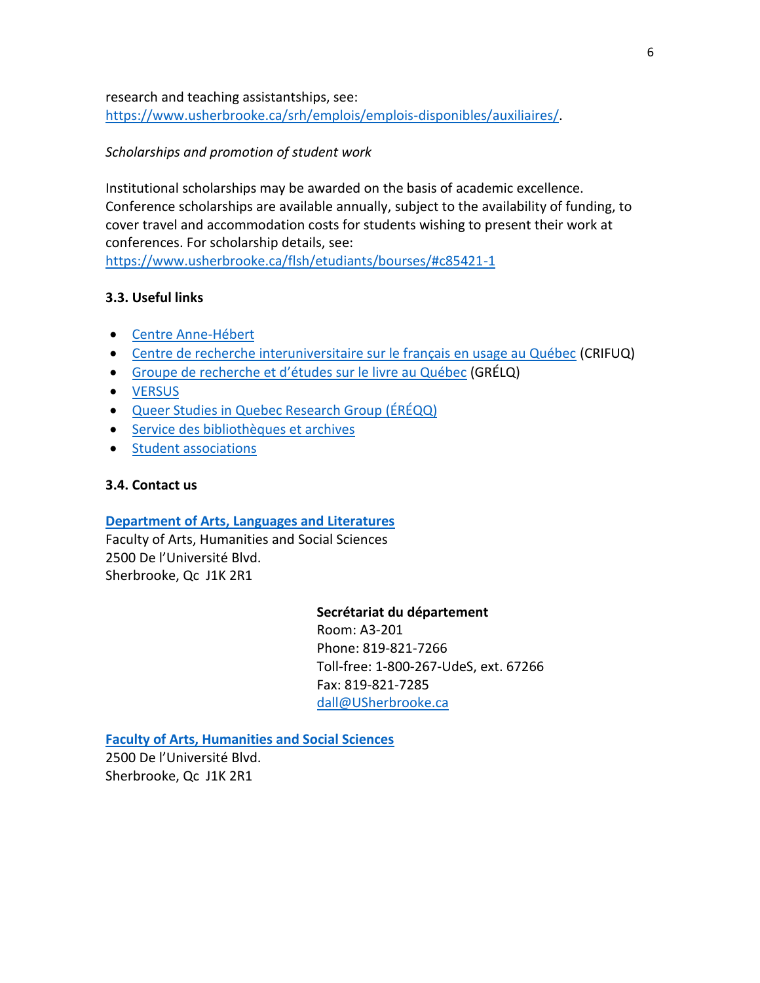research and teaching assistantships, see: [https://www.usherbrooke.ca/srh/emplois/emplois-disponibles/auxiliaires/.](https://www.usherbrooke.ca/srh/emplois/emplois-disponibles/auxiliaires/)

### *Scholarships and promotion of student work*

Institutional scholarships may be awarded on the basis of academic excellence. Conference scholarships are available annually, subject to the availability of funding, to cover travel and accommodation costs for students wishing to present their work at conferences. For scholarship details, see:

<https://www.usherbrooke.ca/flsh/etudiants/bourses/#c85421-1>

### **3.3. Useful links**

- [Centre Anne-Hébert](https://www.usherbrooke.ca/centreanne-hebert/)
- [Centre de recherche interuniversitaire sur le français en usage au Québec](https://www.usherbrooke.ca/crifuq/decouvrir-le-crifuq/) (CRIFUQ)
- Groupe de recherche et d'[études sur le livre au Québec](https://www.usherbrooke.ca/grelq/) (GRÉLQ)
- [VERSUS](http://versus.recherche.usherbrooke.ca/)
- [Queer Studies in Quebec Research Group \(ÉRÉQQ\)](http://ereqq.recherche.usherbrooke.ca/en/home/)
- [Service des bibliothèques et archives](https://www.usherbrooke.ca/biblio/)
- [Student associations](https://www.usherbrooke.ca/etudiants/vie-etudiante/associations-etudiantes/)

#### **3.4. Contact us**

### **[Department of Arts, Languages and Literatures](https://www.usherbrooke.ca/dall/)**

Faculty of Arts, Humanities and Social Sciences 2500 De l'Université Blvd. Sherbrooke, Qc J1K 2R1

#### **Secrétariat du département**

Room: A3-201 Phone: 819-821-7266 Toll-free: 1-800-267-UdeS, ext. 67266 Fax: 819-821-7285 [dall@USherbrooke.ca](mailto:dall@USherbrooke.ca)

**[Faculty of Arts, Humanities and Social Sciences](https://www.usherbrooke.ca/flsh/)**

2500 De l'Université Blvd. Sherbrooke, Qc J1K 2R1